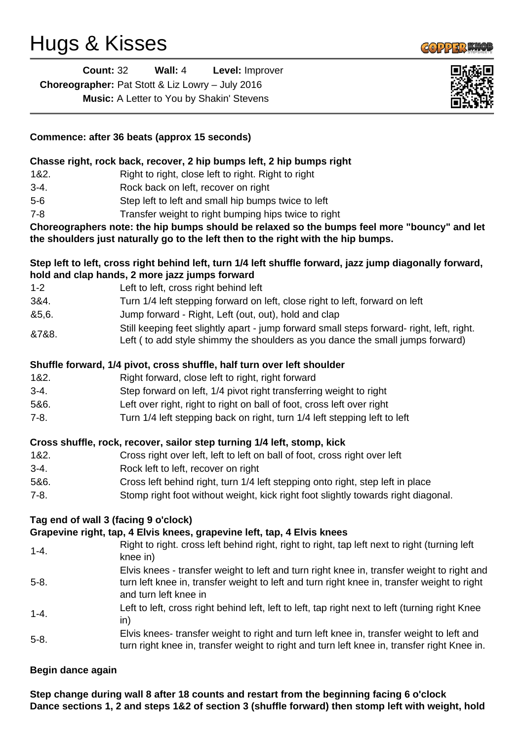# Hugs & Kisses



| <b>Count: 32</b>                                        | Wall: $4$ | Level: Improver                                  |  |
|---------------------------------------------------------|-----------|--------------------------------------------------|--|
| <b>Choreographer:</b> Pat Stott & Liz Lowry - July 2016 |           |                                                  |  |
|                                                         |           | <b>Music:</b> A Letter to You by Shakin' Stevens |  |



# **Commence: after 36 beats (approx 15 seconds)**

# **Chasse right, rock back, recover, 2 hip bumps left, 2 hip bumps right**

- 1&2. Right to right, close left to right. Right to right
- 3-4. Rock back on left, recover on right
- 5-6 Step left to left and small hip bumps twice to left
- 7-8 Transfer weight to right bumping hips twice to right

# **Choreographers note: the hip bumps should be relaxed so the bumps feel more "bouncy" and let the shoulders just naturally go to the left then to the right with the hip bumps.**

# **Step left to left, cross right behind left, turn 1/4 left shuffle forward, jazz jump diagonally forward, hold and clap hands, 2 more jazz jumps forward**

- 1-2 Left to left, cross right behind left
- 3&4. Turn 1/4 left stepping forward on left, close right to left, forward on left
- &5,6. Jump forward Right, Left (out, out), hold and clap
- &7&8. Still keeping feet slightly apart jump forward small steps forward- right, left, right.
- Left ( to add style shimmy the shoulders as you dance the small jumps forward)

#### **Shuffle forward, 1/4 pivot, cross shuffle, half turn over left shoulder**

- 1&2. Right forward, close left to right, right forward
- 3-4. Step forward on left, 1/4 pivot right transferring weight to right
- 5&6. Left over right, right to right on ball of foot, cross left over right
- 7-8. Turn 1/4 left stepping back on right, turn 1/4 left stepping left to left

# **Cross shuffle, rock, recover, sailor step turning 1/4 left, stomp, kick**

| 1&2. | Cross right over left, left to left on ball of foot, cross right over left |
|------|----------------------------------------------------------------------------|
|      |                                                                            |

- 3-4. Rock left to left, recover on right
- 5&6. Cross left behind right, turn 1/4 left stepping onto right, step left in place
- 7-8. Stomp right foot without weight, kick right foot slightly towards right diagonal.

# **Tag end of wall 3 (facing 9 o'clock)**

# **Grapevine right, tap, 4 Elvis knees, grapevine left, tap, 4 Elvis knees**

1-4. Right to right. cross left behind right, right to right, tap left next to right (turning left knee in) 5-8. Elvis knees - transfer weight to left and turn right knee in, transfer weight to right and turn left knee in, transfer weight to left and turn right knee in, transfer weight to right and turn left knee in 1-4. Left to left, cross right behind left, left to left, tap right next to left (turning right Knee in) 5-8. Elvis knees- transfer weight to right and turn left knee in, transfer weight to left and turn right knee in, transfer weight to right and turn left knee in, transfer right Knee in.

# **Begin dance again**

**Step change during wall 8 after 18 counts and restart from the beginning facing 6 o'clock Dance sections 1, 2 and steps 1&2 of section 3 (shuffle forward) then stomp left with weight, hold**